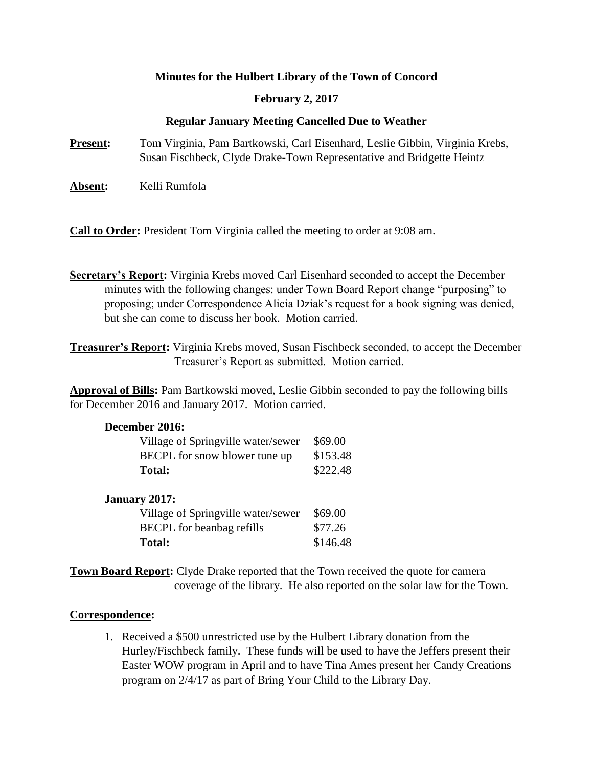## **Minutes for the Hulbert Library of the Town of Concord**

## **February 2, 2017**

## **Regular January Meeting Cancelled Due to Weather**

**Present:** Tom Virginia, Pam Bartkowski, Carl Eisenhard, Leslie Gibbin, Virginia Krebs, Susan Fischbeck, Clyde Drake-Town Representative and Bridgette Heintz

Absent: Kelli Rumfola

**Call to Order:** President Tom Virginia called the meeting to order at 9:08 am.

- **Secretary's Report:** Virginia Krebs moved Carl Eisenhard seconded to accept the December minutes with the following changes: under Town Board Report change "purposing" to proposing; under Correspondence Alicia Dziak's request for a book signing was denied, but she can come to discuss her book. Motion carried.
- **Treasurer's Report:** Virginia Krebs moved, Susan Fischbeck seconded, to accept the December Treasurer's Report as submitted. Motion carried.

**Approval of Bills:** Pam Bartkowski moved, Leslie Gibbin seconded to pay the following bills for December 2016 and January 2017. Motion carried.

| December 2016:                                                                       |                                 |                                    |         |
|--------------------------------------------------------------------------------------|---------------------------------|------------------------------------|---------|
| Village of Springville water/sewer<br>BECPL for snow blower tune up<br><b>Total:</b> | \$69.00<br>\$153.48<br>\$222.48 |                                    |         |
|                                                                                      |                                 | January 2017:                      |         |
|                                                                                      |                                 | Village of Springville water/sewer | \$69.00 |
| <b>BECPL</b> for beanbag refills                                                     | \$77.26                         |                                    |         |

**Total:** \$146.48

**Town Board Report:** Clyde Drake reported that the Town received the quote for camera coverage of the library. He also reported on the solar law for the Town.

## **Correspondence:**

1. Received a \$500 unrestricted use by the Hulbert Library donation from the Hurley/Fischbeck family. These funds will be used to have the Jeffers present their Easter WOW program in April and to have Tina Ames present her Candy Creations program on 2/4/17 as part of Bring Your Child to the Library Day.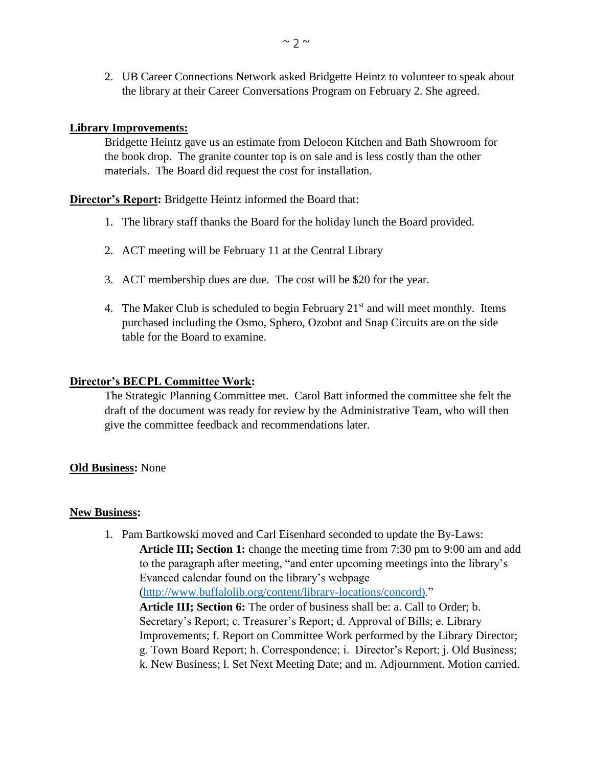2. UB Career Connections Network asked Bridgette Heintz to volunteer to speak about the library at their Career Conversations Program on February 2. She agreed.

## **Library Improvements:**

Bridgette Heintz gave us an estimate from Delocon Kitchen and Bath Showroom for the book drop. The granite counter top is on sale and is less costly than the other materials. The Board did request the cost for installation.

#### **Director's Report:** Bridgette Heintz informed the Board that:

- 1. The library staff thanks the Board for the holiday lunch the Board provided.
- 2. ACT meeting will be February 11 at the Central Library
- 3. ACT membership dues are due. The cost will be \$20 for the year.
- 4. The Maker Club is scheduled to begin February  $21<sup>st</sup>$  and will meet monthly. Items purchased including the Osmo, Sphero, Ozobot and Snap Circuits are on the side table for the Board to examine.

#### **Director's BECPL Committee Work:**

The Strategic Planning Committee met. Carol Batt informed the committee she felt the draft of the document was ready for review by the Administrative Team, who will then give the committee feedback and recommendations later.

#### **Old Business:** None

#### **New Business:**

1. Pam Bartkowski moved and Carl Eisenhard seconded to update the By-Laws: **Article III; Section 1:** change the meeting time from 7:30 pm to 9:00 am and add to the paragraph after meeting, "and enter upcoming meetings into the library's Evanced calendar found on the library's webpage [\(http://www.buffalolib.org/content/library-locations/concord\).](http://www.buffalolib.org/content/library-locations/concord))" **Article III; Section 6:** The order of business shall be: a. Call to Order; b. Secretary's Report; c. Treasurer's Report; d. Approval of Bills; e. Library Improvements; f. Report on Committee Work performed by the Library Director; g. Town Board Report; h. Correspondence; i. Director's Report; j. Old Business; k. New Business; l. Set Next Meeting Date; and m. Adjournment. Motion carried.